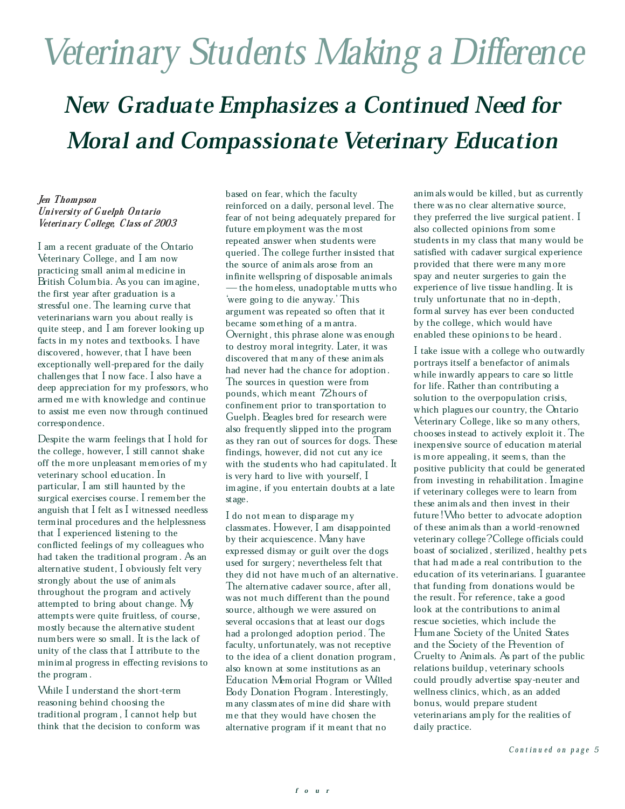# Veterinary Students Making a Difference

# New Graduate Emphasizes a Continued Need for Moral and Compassionate Veterinary Education

#### Jen Thompson University of Guelph Ontario Veterinary College, Class of 2003

I am a recent graduate of the Ontario Veterinary College, and I am now practicing small animal medicine in British Columbia. As you can imagine, the first year after graduation is a stressful one. The learning curve that veterinarians warn you about really is quite steep, and I am forever looking up facts in my notes and textbooks. I have discovered, however, that I have been exceptionally well-prepared for the daily challenges that I now face. I also have a deep appreciation for my professors, who armed me with knowledge and continue to assist me even now through continued correspondence.

Despite the warm feelings that I hold for the college, however, I still cannot shake off the more unpleasant memories of my veterinary school education. In particular, I am still haunted by the surgical exercises course. I remember the anguish that I felt as I witnessed needless terminal procedures and the helplessness that I experienced listening to the conflicted feelings of my colleagues who had taken the traditional program. As an alternative student, I obviously felt very strongly about the use of animals throughout the program and actively attempted to bring about change. My attempts were quite fruitless, of course, mostly because the alternative student numbers were so small. It is the lack of unity of the class that I attribute to the minimal progress in effecting revisions to the program.

While I understand the short-term reasoning behind choosing the traditional program, I cannot help but think that the decision to conform was based on fear, which the faculty reinforced on a daily, personal level. The fear of not being adequately prepared for future employment was the most repeated answer when students were queried. The college further insisted that the source of animals arose from an infinite wellspring of disposable animals — the homeless, unadoptable mutts who `were going to die anyway.' This argument was repeated so often that it became something of a mantra. Overnight, this phrase alone was enough to destroy moral integrity. Later, it was discovered that many of these animals had never had the chance for adoption. The sources in question were from pounds, which meant 72 hours of confinement prior to transportation to Guelph. Beagles bred for research were also frequently slipped into the program as they ran out of sources for dogs. These findings, however, did not cut any ice with the students who had capitulated. It is very hard to live with yourself, I imagine, if you entertain doubts at a late stage.

I do not mean to disparage my classmates. However, I am disappointed by their acquiescence. Many have expressed dismay or guilt over the dogs used for surgery; nevertheless felt that they did not have much of an alternative. The alternative cadaver source, after all, was not much different than the pound source, although we were assured on several occasions that at least our dogs had a prolonged adoption period. The faculty, unfortunately, was not receptive to the idea of a client donation program, also known at some institutions as an Education Memorial Program or Willed Body Donation Program. Interestingly, many classmates of mine did share with me that they would have chosen the alternative program if it meant that no

animals would be killed, but as currently there was no clear alternative source, they preferred the live surgical patient. I also collected opinions from some students in my class that many would be satisfied with cadaver surgical experience provided that there were many more spay and neuter surgeries to gain the experience of live tissue handling. It is truly unfortunate that no in-depth, formal survey has ever been conducted by the college, which would have enabled these opinions to be heard.

I take issue with a college who outwardly portrays itself a benefactor of animals while inwardly appears to care so little for life. Rather than contributing a solution to the overpopulation crisis, which plagues our country, the Ontario Veterinary College, like so many others, chooses instead to actively exploit it. The inexpensive source of education material is more appealing, it seems, than the positive publicity that could be generated from investing in rehabilitation. Imagine if veterinary colleges were to learn from these animals and then invest in their future! Who better to advocate adoption of these animals than a world-renowned veterinary college? College officials could boast of socialized, sterilized, healthy pets that had made a real contribution to the education of its veterinarians. I guarantee that funding from donations would be the result. For reference, take a good look at the contributions to animal rescue societies, which include the Humane Society of the United States and the Society of the Prevention of Cruelty to Animals. As part of the public relations buildup, veterinary schools could proudly advertise spay-neuter and wellness clinics, which, as an added bonus, would prepare student veterinarians amply for the realities of daily practice.